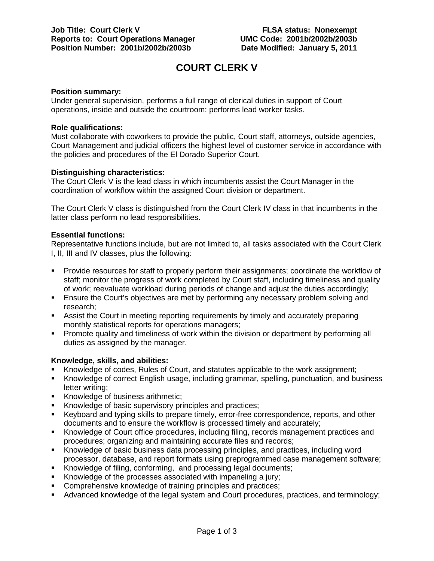# **COURT CLERK V**

# **Position summary:**

Under general supervision, performs a full range of clerical duties in support of Court operations, inside and outside the courtroom; performs lead worker tasks.

### **Role qualifications:**

Must collaborate with coworkers to provide the public, Court staff, attorneys, outside agencies, Court Management and judicial officers the highest level of customer service in accordance with the policies and procedures of the El Dorado Superior Court.

# **Distinguishing characteristics:**

The Court Clerk V is the lead class in which incumbents assist the Court Manager in the coordination of workflow within the assigned Court division or department.

The Court Clerk V class is distinguished from the Court Clerk IV class in that incumbents in the latter class perform no lead responsibilities.

# **Essential functions:**

Representative functions include, but are not limited to, all tasks associated with the Court Clerk I, II, III and IV classes, plus the following:

- Provide resources for staff to properly perform their assignments; coordinate the workflow of staff; monitor the progress of work completed by Court staff, including timeliness and quality of work; reevaluate workload during periods of change and adjust the duties accordingly;
- Ensure the Court's objectives are met by performing any necessary problem solving and research;
- Assist the Court in meeting reporting requirements by timely and accurately preparing monthly statistical reports for operations managers;
- Promote quality and timeliness of work within the division or department by performing all duties as assigned by the manager.

# **Knowledge, skills, and abilities:**

- Knowledge of codes, Rules of Court, and statutes applicable to the work assignment;
- Knowledge of correct English usage, including grammar, spelling, punctuation, and business letter writing;
- Knowledge of business arithmetic;
- Knowledge of basic supervisory principles and practices;
- Keyboard and typing skills to prepare timely, error-free correspondence, reports, and other documents and to ensure the workflow is processed timely and accurately;
- Knowledge of Court office procedures, including filing, records management practices and procedures; organizing and maintaining accurate files and records;
- Knowledge of basic business data processing principles, and practices, including word processor, database, and report formats using preprogrammed case management software;
- Knowledge of filing, conforming, and processing legal documents;
- Knowledge of the processes associated with impaneling a jury;
- **Comprehensive knowledge of training principles and practices;**
- Advanced knowledge of the legal system and Court procedures, practices, and terminology;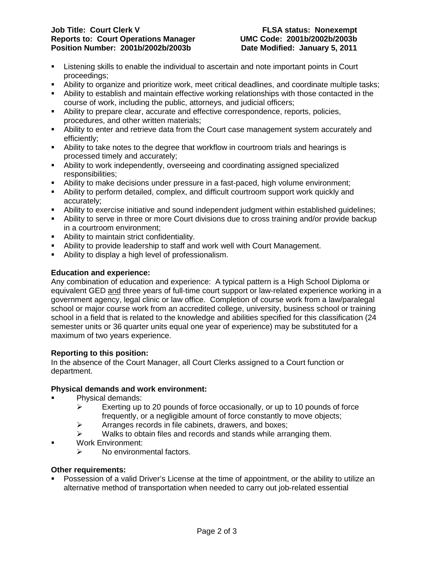# **Job Title: Court Clerk V FLSA status: Nonexempt Reports to: Court Operations Manager UMC Code: 2001b/2002b/2003b Position Number: 2001b/2002b/2003b**

- Listening skills to enable the individual to ascertain and note important points in Court proceedings;
- Ability to organize and prioritize work, meet critical deadlines, and coordinate multiple tasks;
- Ability to establish and maintain effective working relationships with those contacted in the course of work, including the public, attorneys, and judicial officers;
- Ability to prepare clear, accurate and effective correspondence, reports, policies, procedures, and other written materials;
- Ability to enter and retrieve data from the Court case management system accurately and efficiently;
- Ability to take notes to the degree that workflow in courtroom trials and hearings is processed timely and accurately;
- Ability to work independently, overseeing and coordinating assigned specialized responsibilities;
- Ability to make decisions under pressure in a fast-paced, high volume environment;
- Ability to perform detailed, complex, and difficult courtroom support work quickly and accurately;
- Ability to exercise initiative and sound independent judgment within established guidelines;
- Ability to serve in three or more Court divisions due to cross training and/or provide backup in a courtroom environment;
- Ability to maintain strict confidentiality.
- Ability to provide leadership to staff and work well with Court Management.
- Ability to display a high level of professionalism.

# **Education and experience:**

Any combination of education and experience: A typical pattern is a High School Diploma or equivalent GED and three years of full-time court support or law-related experience working in a government agency, legal clinic or law office. Completion of course work from a law/paralegal school or major course work from an accredited college, university, business school or training school in a field that is related to the knowledge and abilities specified for this classification (24 semester units or 36 quarter units equal one year of experience) may be substituted for a maximum of two years experience.

# **Reporting to this position:**

In the absence of the Court Manager, all Court Clerks assigned to a Court function or department.

# **Physical demands and work environment:**

- Physical demands:
	- $\triangleright$  Exerting up to 20 pounds of force occasionally, or up to 10 pounds of force frequently, or a negligible amount of force constantly to move objects;
	- $\triangleright$  Arranges records in file cabinets, drawers, and boxes;
	- $\triangleright$  Walks to obtain files and records and stands while arranging them.
- Work Environment:
	- $\triangleright$  No environmental factors.

# **Other requirements:**

 Possession of a valid Driver's License at the time of appointment, or the ability to utilize an alternative method of transportation when needed to carry out job-related essential